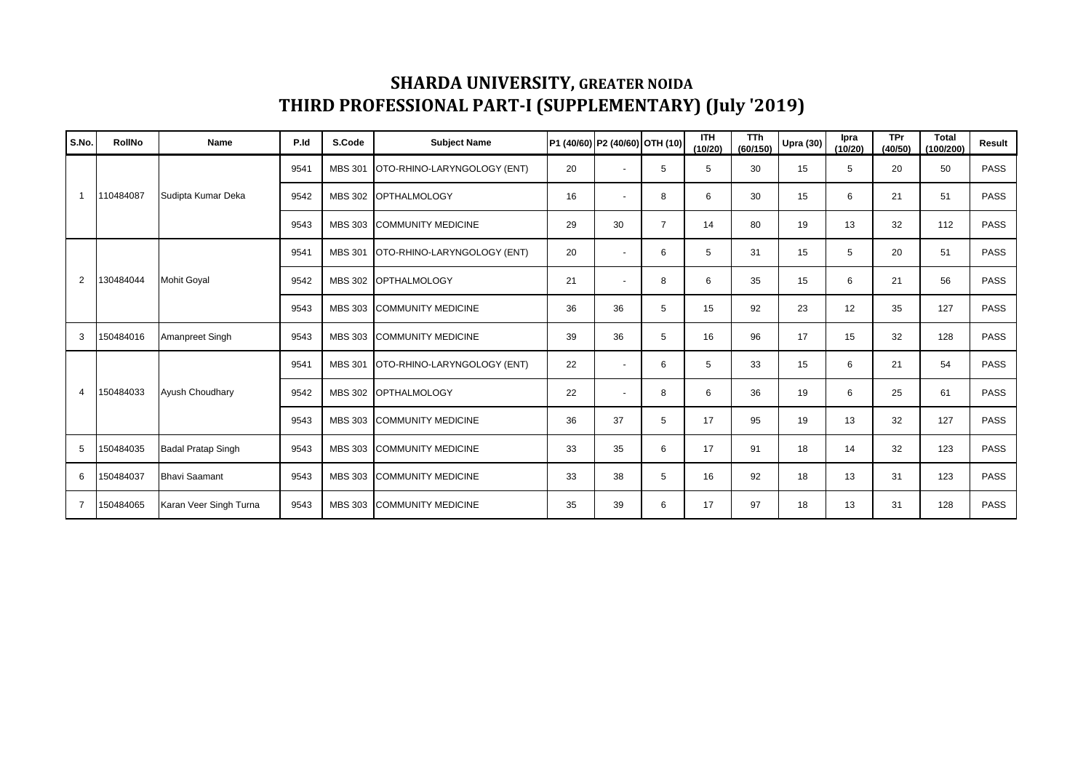## **SHARDA UNIVERSITY, GREATER NOIDA THIRD PROFESSIONAL PART-I (SUPPLEMENTARY) (July '2019)**

| S.No.          | <b>RollNo</b> | Name                      | P.Id | S.Code         | <b>Subject Name</b>         | P1 (40/60) P2 (40/60) OTH (10) |                          |                | <b>ITH</b><br>(10/20) | <b>TTh</b><br>(60/150) | <b>Upra (30)</b> | Ipra<br>(10/20) | <b>TPr</b><br>(40/50) | <b>Total</b><br>(100/200) | Result      |
|----------------|---------------|---------------------------|------|----------------|-----------------------------|--------------------------------|--------------------------|----------------|-----------------------|------------------------|------------------|-----------------|-----------------------|---------------------------|-------------|
| $\overline{1}$ | 110484087     | Sudipta Kumar Deka        | 9541 | <b>MBS 301</b> | OTO-RHINO-LARYNGOLOGY (ENT) | 20                             |                          | 5              | 5                     | 30                     | 15               | 5               | 20                    | 50                        | <b>PASS</b> |
|                |               |                           | 9542 | <b>MBS 302</b> | <b>OPTHALMOLOGY</b>         | 16                             |                          | 8              | 6                     | 30                     | 15               | 6               | 21                    | 51                        | <b>PASS</b> |
|                |               |                           | 9543 | <b>MBS 303</b> | <b>COMMUNITY MEDICINE</b>   | 29                             | 30                       | $\overline{7}$ | 14                    | 80                     | 19               | 13              | 32                    | 112                       | <b>PASS</b> |
| 2              | 130484044     | <b>Mohit Goval</b>        | 9541 | <b>MBS 301</b> | OTO-RHINO-LARYNGOLOGY (ENT) | 20                             | $\overline{\phantom{a}}$ | 6              | 5                     | 31                     | 15               | 5               | 20                    | 51                        | <b>PASS</b> |
|                |               |                           | 9542 | <b>MBS 302</b> | <b>OPTHALMOLOGY</b>         | 21                             |                          | 8              | 6                     | 35                     | 15               | 6               | 21                    | 56                        | PASS        |
|                |               |                           | 9543 | <b>MBS 303</b> | <b>COMMUNITY MEDICINE</b>   | 36                             | 36                       | 5              | 15                    | 92                     | 23               | 12              | 35                    | 127                       | <b>PASS</b> |
| 3              | 150484016     | Amanpreet Singh           | 9543 | MBS 303        | <b>COMMUNITY MEDICINE</b>   | 39                             | 36                       | 5              | 16                    | 96                     | 17               | 15              | 32                    | 128                       | <b>PASS</b> |
| $\overline{4}$ | 150484033     | Ayush Choudhary           | 9541 | <b>MBS 301</b> | OTO-RHINO-LARYNGOLOGY (ENT) | 22                             |                          | 6              | 5                     | 33                     | 15               | 6               | 21                    | 54                        | PASS        |
|                |               |                           | 9542 | <b>MBS 302</b> | <b>OPTHALMOLOGY</b>         | 22                             |                          | 8              | 6                     | 36                     | 19               | 6               | 25                    | 61                        | PASS        |
|                |               |                           | 9543 | <b>MBS 303</b> | <b>COMMUNITY MEDICINE</b>   | 36                             | 37                       | 5              | 17                    | 95                     | 19               | 13              | 32                    | 127                       | <b>PASS</b> |
| 5              | 150484035     | <b>Badal Pratap Singh</b> | 9543 | <b>MBS 303</b> | <b>COMMUNITY MEDICINE</b>   | 33                             | 35                       | 6              | 17                    | 91                     | 18               | 14              | 32                    | 123                       | PASS        |
| 6              | 150484037     | <b>Bhavi Saamant</b>      | 9543 | <b>MBS 303</b> | <b>COMMUNITY MEDICINE</b>   | 33                             | 38                       | 5              | 16                    | 92                     | 18               | 13              | 31                    | 123                       | <b>PASS</b> |
| $\overline{7}$ | 150484065     | Karan Veer Singh Turna    | 9543 | MBS 303        | <b>COMMUNITY MEDICINE</b>   | 35                             | 39                       | 6              | 17                    | 97                     | 18               | 13              | 31                    | 128                       | <b>PASS</b> |